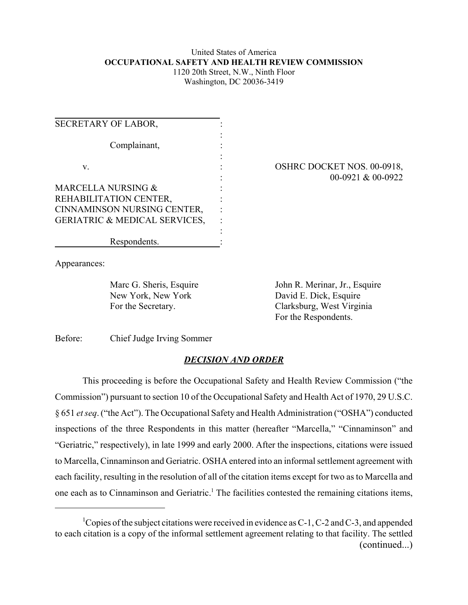### United States of America **OCCUPATIONAL SAFETY AND HEALTH REVIEW COMMISSION** 1120 20th Street, N.W., Ninth Floor

Washington, DC 20036-3419

| <b>SECRETARY OF LABOR,</b>               |  |
|------------------------------------------|--|
|                                          |  |
| Complainant,                             |  |
|                                          |  |
| V.                                       |  |
| MARCELLA NURSING &                       |  |
| REHABILITATION CENTER,                   |  |
| CINNAMINSON NURSING CENTER,              |  |
| <b>GERIATRIC &amp; MEDICAL SERVICES,</b> |  |
|                                          |  |
| Respondents.                             |  |

### OSHRC DOCKET NOS. 00-0918, 00-0921 & 00-0922

Appearances:

Marc G. Sheris, Esquire New York, New York For the Secretary.

John R. Merinar, Jr., Esquire David E. Dick, Esquire Clarksburg, West Virginia For the Respondents.

Before: Chief Judge Irving Sommer

# *DECISION AND ORDER*

This proceeding is before the Occupational Safety and Health Review Commission ("the Commission") pursuant to section 10 of the Occupational Safety and Health Act of 1970, 29 U.S.C. § 651 *et seq*. ("the Act"). The Occupational Safety and Health Administration ("OSHA") conducted inspections of the three Respondents in this matter (hereafter "Marcella," "Cinnaminson" and "Geriatric," respectively), in late 1999 and early 2000. After the inspections, citations were issued to Marcella, Cinnaminson and Geriatric. OSHA entered into an informal settlement agreement with each facility, resulting in the resolution of all of the citation items except for two as to Marcella and one each as to Cinnaminson and Geriatric.<sup>1</sup> The facilities contested the remaining citations items,

<sup>&</sup>lt;sup>1</sup>Copies of the subject citations were received in evidence as C-1, C-2 and C-3, and appended to each citation is a copy of the informal settlement agreement relating to that facility. The settled (continued...)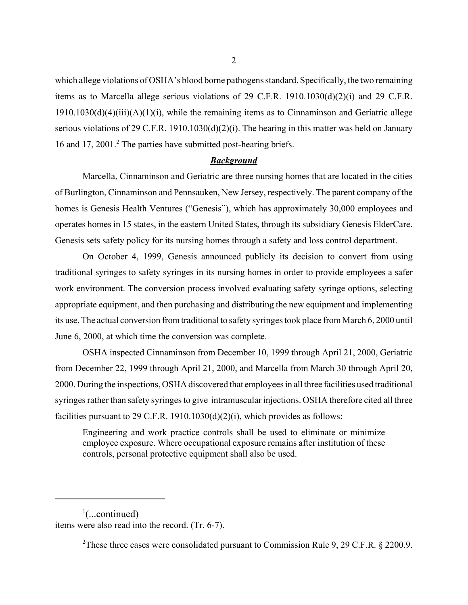which allege violations of OSHA's blood borne pathogens standard. Specifically, the two remaining items as to Marcella allege serious violations of 29 C.F.R. 1910.1030(d)(2)(i) and 29 C.F.R.  $1910.1030(d)(4)(iii)(A)(1)(i)$ , while the remaining items as to Cinnaminson and Geriatric allege serious violations of 29 C.F.R. 1910.1030(d)(2)(i). The hearing in this matter was held on January 16 and 17, 2001.<sup>2</sup> The parties have submitted post-hearing briefs.

#### *Background*

Marcella, Cinnaminson and Geriatric are three nursing homes that are located in the cities of Burlington, Cinnaminson and Pennsauken, New Jersey, respectively. The parent company of the homes is Genesis Health Ventures ("Genesis"), which has approximately 30,000 employees and operates homes in 15 states, in the eastern United States, through its subsidiary Genesis ElderCare. Genesis sets safety policy for its nursing homes through a safety and loss control department.

On October 4, 1999, Genesis announced publicly its decision to convert from using traditional syringes to safety syringes in its nursing homes in order to provide employees a safer work environment. The conversion process involved evaluating safety syringe options, selecting appropriate equipment, and then purchasing and distributing the new equipment and implementing its use. The actual conversion from traditional to safety syringes took place from March 6, 2000 until June 6, 2000, at which time the conversion was complete.

OSHA inspected Cinnaminson from December 10, 1999 through April 21, 2000, Geriatric from December 22, 1999 through April 21, 2000, and Marcella from March 30 through April 20, 2000. During the inspections, OSHA discovered that employees in all three facilities used traditional syringes rather than safety syringes to give intramuscular injections. OSHA therefore cited all three facilities pursuant to 29 C.F.R. 1910.1030(d)(2)(i), which provides as follows:

Engineering and work practice controls shall be used to eliminate or minimize employee exposure. Where occupational exposure remains after institution of these controls, personal protective equipment shall also be used.

 $\frac{1}{2}$ (...continued) items were also read into the record. (Tr. 6-7).

<sup>&</sup>lt;sup>2</sup>These three cases were consolidated pursuant to Commission Rule 9, 29 C.F.R. § 2200.9.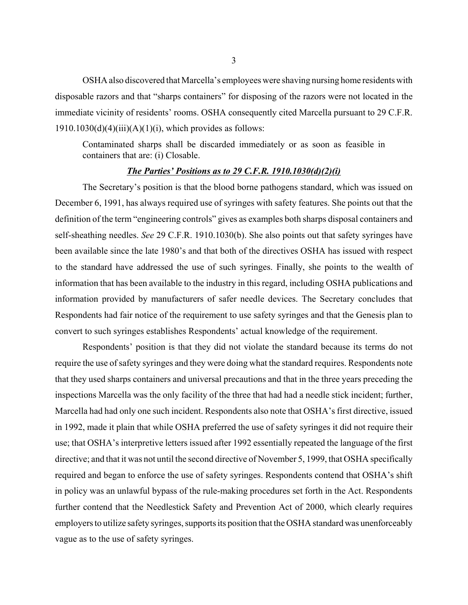OSHA also discovered that Marcella's employees were shaving nursing home residents with disposable razors and that "sharps containers" for disposing of the razors were not located in the immediate vicinity of residents' rooms. OSHA consequently cited Marcella pursuant to 29 C.F.R.  $1910.1030(d)(4)(iii)(A)(1)(i)$ , which provides as follows:

Contaminated sharps shall be discarded immediately or as soon as feasible in containers that are: (i) Closable.

#### *The Parties' Positions as to 29 C.F.R. 1910.1030(d)(2)(i)*

The Secretary's position is that the blood borne pathogens standard, which was issued on December 6, 1991, has always required use of syringes with safety features. She points out that the definition of the term "engineering controls" gives as examples both sharps disposal containers and self-sheathing needles. *See* 29 C.F.R. 1910.1030(b). She also points out that safety syringes have been available since the late 1980's and that both of the directives OSHA has issued with respect to the standard have addressed the use of such syringes. Finally, she points to the wealth of information that has been available to the industry in this regard, including OSHA publications and information provided by manufacturers of safer needle devices. The Secretary concludes that Respondents had fair notice of the requirement to use safety syringes and that the Genesis plan to convert to such syringes establishes Respondents' actual knowledge of the requirement.

Respondents' position is that they did not violate the standard because its terms do not require the use of safety syringes and they were doing what the standard requires. Respondents note that they used sharps containers and universal precautions and that in the three years preceding the inspections Marcella was the only facility of the three that had had a needle stick incident; further, Marcella had had only one such incident. Respondents also note that OSHA's first directive, issued in 1992, made it plain that while OSHA preferred the use of safety syringes it did not require their use; that OSHA's interpretive letters issued after 1992 essentially repeated the language of the first directive; and that it was not until the second directive of November 5, 1999, that OSHA specifically required and began to enforce the use of safety syringes. Respondents contend that OSHA's shift in policy was an unlawful bypass of the rule-making procedures set forth in the Act. Respondents further contend that the Needlestick Safety and Prevention Act of 2000, which clearly requires employers to utilize safety syringes, supports its position that the OSHA standard was unenforceably vague as to the use of safety syringes.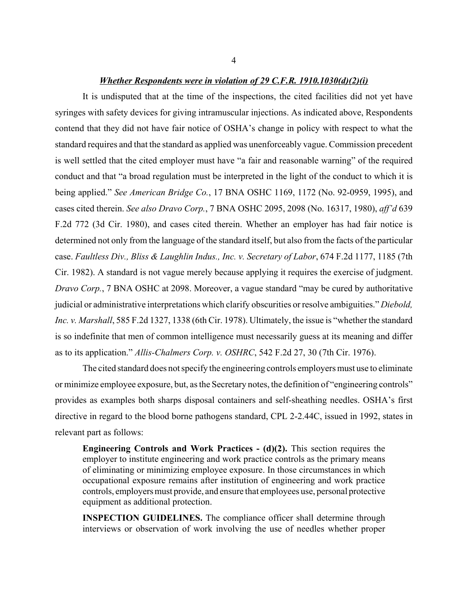#### *Whether Respondents were in violation of 29 C.F.R. 1910.1030(d)(2)(i)*

It is undisputed that at the time of the inspections, the cited facilities did not yet have syringes with safety devices for giving intramuscular injections. As indicated above, Respondents contend that they did not have fair notice of OSHA's change in policy with respect to what the standard requires and that the standard as applied was unenforceably vague. Commission precedent is well settled that the cited employer must have "a fair and reasonable warning" of the required conduct and that "a broad regulation must be interpreted in the light of the conduct to which it is being applied." *See American Bridge Co.*, 17 BNA OSHC 1169, 1172 (No. 92-0959, 1995), and cases cited therein. *See also Dravo Corp.*, 7 BNA OSHC 2095, 2098 (No. 16317, 1980), *aff'd* 639 F.2d 772 (3d Cir. 1980), and cases cited therein. Whether an employer has had fair notice is determined not only from the language of the standard itself, but also from the facts of the particular case. *Faultless Div., Bliss & Laughlin Indus., Inc. v. Secretary of Labor*, 674 F.2d 1177, 1185 (7th Cir. 1982). A standard is not vague merely because applying it requires the exercise of judgment. *Dravo Corp.*, 7 BNA OSHC at 2098. Moreover, a vague standard "may be cured by authoritative judicial or administrative interpretations which clarify obscurities or resolve ambiguities." *Diebold, Inc. v. Marshall*, 585 F.2d 1327, 1338 (6th Cir. 1978). Ultimately, the issue is "whether the standard is so indefinite that men of common intelligence must necessarily guess at its meaning and differ as to its application." *Allis-Chalmers Corp. v. OSHRC*, 542 F.2d 27, 30 (7th Cir. 1976).

The cited standard does not specify the engineering controls employers must use to eliminate or minimize employee exposure, but, as the Secretary notes, the definition of "engineering controls" provides as examples both sharps disposal containers and self-sheathing needles. OSHA's first directive in regard to the blood borne pathogens standard, CPL 2-2.44C, issued in 1992, states in relevant part as follows:

**Engineering Controls and Work Practices - (d)(2).** This section requires the employer to institute engineering and work practice controls as the primary means of eliminating or minimizing employee exposure. In those circumstances in which occupational exposure remains after institution of engineering and work practice controls, employers must provide, and ensure that employees use, personal protective equipment as additional protection.

**INSPECTION GUIDELINES.** The compliance officer shall determine through interviews or observation of work involving the use of needles whether proper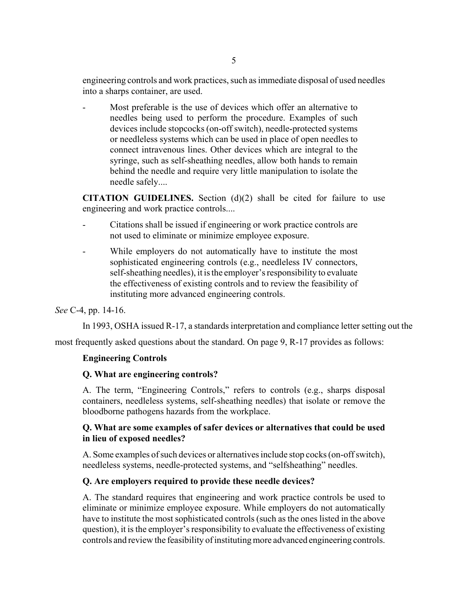engineering controls and work practices, such as immediate disposal of used needles into a sharps container, are used.

Most preferable is the use of devices which offer an alternative to needles being used to perform the procedure. Examples of such devices include stopcocks (on-off switch), needle-protected systems or needleless systems which can be used in place of open needles to connect intravenous lines. Other devices which are integral to the syringe, such as self-sheathing needles, allow both hands to remain behind the needle and require very little manipulation to isolate the needle safely....

**CITATION GUIDELINES.** Section (d)(2) shall be cited for failure to use engineering and work practice controls....

- Citations shall be issued if engineering or work practice controls are not used to eliminate or minimize employee exposure.
- While employers do not automatically have to institute the most sophisticated engineering controls (e.g., needleless IV connectors, self-sheathing needles), it is the employer's responsibility to evaluate the effectiveness of existing controls and to review the feasibility of instituting more advanced engineering controls.

### *See* C-4, pp. 14-16.

In 1993, OSHA issued R-17, a standards interpretation and compliance letter setting out the

most frequently asked questions about the standard. On page 9, R-17 provides as follows:

### **Engineering Controls**

### **Q. What are engineering controls?**

A. The term, "Engineering Controls," refers to controls (e.g., sharps disposal containers, needleless systems, self-sheathing needles) that isolate or remove the bloodborne pathogens hazards from the workplace.

### **Q. What are some examples of safer devices or alternatives that could be used in lieu of exposed needles?**

A. Some examples of such devices or alternatives include stop cocks (on-off switch), needleless systems, needle-protected systems, and "selfsheathing" needles.

### **Q. Are employers required to provide these needle devices?**

A. The standard requires that engineering and work practice controls be used to eliminate or minimize employee exposure. While employers do not automatically have to institute the most sophisticated controls (such as the ones listed in the above question), it is the employer's responsibility to evaluate the effectiveness of existing controls and review the feasibility of instituting more advanced engineering controls.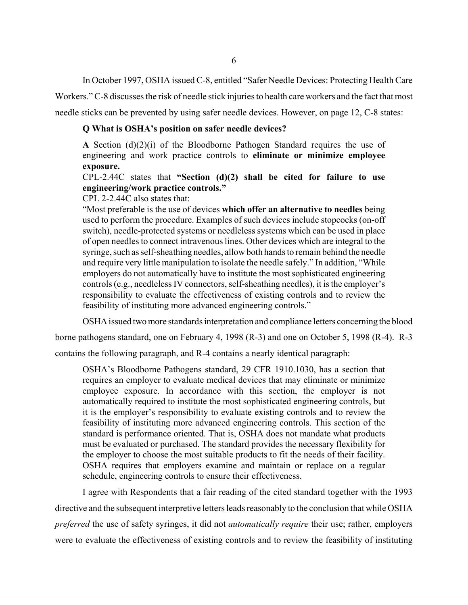In October 1997, OSHA issued C-8, entitled "Safer Needle Devices: Protecting Health Care

Workers." C-8 discusses the risk of needle stick injuries to health care workers and the fact that most

needle sticks can be prevented by using safer needle devices. However, on page 12, C-8 states:

#### **Q What is OSHA's position on safer needle devices?**

**A** Section  $(d)(2)(i)$  of the Bloodborne Pathogen Standard requires the use of engineering and work practice controls to **eliminate or minimize employee exposure.**

CPL-2.44C states that **"Section (d)(2) shall be cited for failure to use engineering/work practice controls."**

CPL 2-2.44C also states that:

"Most preferable is the use of devices **which offer an alternative to needles** being used to perform the procedure. Examples of such devices include stopcocks (on-off switch), needle-protected systems or needleless systems which can be used in place of open needles to connect intravenous lines. Other devices which are integral to the syringe, such as self-sheathing needles, allow both hands to remain behind the needle and require very little manipulation to isolate the needle safely." In addition, "While employers do not automatically have to institute the most sophisticated engineering controls (e.g., needleless IV connectors, self-sheathing needles), it is the employer's responsibility to evaluate the effectiveness of existing controls and to review the feasibility of instituting more advanced engineering controls."

OSHA issued two more standards interpretation and compliance letters concerning the blood

borne pathogens standard, one on February 4, 1998 (R-3) and one on October 5, 1998 (R-4). R-3

contains the following paragraph, and R-4 contains a nearly identical paragraph:

OSHA's Bloodborne Pathogens standard, 29 CFR 1910.1030, has a section that requires an employer to evaluate medical devices that may eliminate or minimize employee exposure. In accordance with this section, the employer is not automatically required to institute the most sophisticated engineering controls, but it is the employer's responsibility to evaluate existing controls and to review the feasibility of instituting more advanced engineering controls. This section of the standard is performance oriented. That is, OSHA does not mandate what products must be evaluated or purchased. The standard provides the necessary flexibility for the employer to choose the most suitable products to fit the needs of their facility. OSHA requires that employers examine and maintain or replace on a regular schedule, engineering controls to ensure their effectiveness.

I agree with Respondents that a fair reading of the cited standard together with the 1993 directive and the subsequent interpretive letters leads reasonably to the conclusion that while OSHA *preferred* the use of safety syringes, it did not *automatically require* their use; rather, employers were to evaluate the effectiveness of existing controls and to review the feasibility of instituting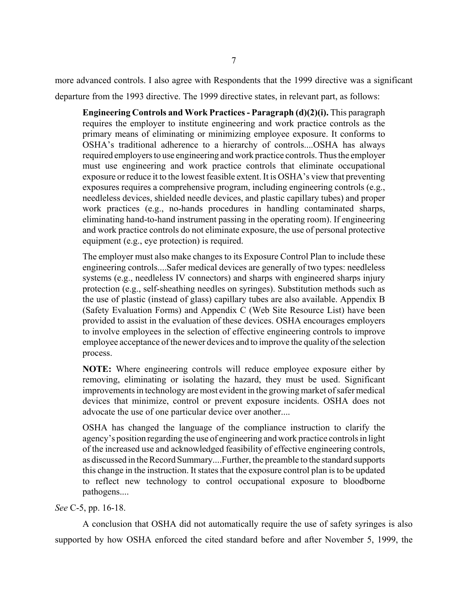more advanced controls. I also agree with Respondents that the 1999 directive was a significant departure from the 1993 directive. The 1999 directive states, in relevant part, as follows:

**Engineering Controls and Work Practices - Paragraph (d)(2)(i).** This paragraph requires the employer to institute engineering and work practice controls as the primary means of eliminating or minimizing employee exposure. It conforms to OSHA's traditional adherence to a hierarchy of controls....OSHA has always required employers to use engineering and work practice controls. Thus the employer must use engineering and work practice controls that eliminate occupational exposure or reduce it to the lowest feasible extent. It is OSHA's view that preventing exposures requires a comprehensive program, including engineering controls (e.g., needleless devices, shielded needle devices, and plastic capillary tubes) and proper work practices (e.g., no-hands procedures in handling contaminated sharps, eliminating hand-to-hand instrument passing in the operating room). If engineering and work practice controls do not eliminate exposure, the use of personal protective equipment (e.g., eye protection) is required.

The employer must also make changes to its Exposure Control Plan to include these engineering controls....Safer medical devices are generally of two types: needleless systems (e.g., needleless IV connectors) and sharps with engineered sharps injury protection (e.g., self-sheathing needles on syringes). Substitution methods such as the use of plastic (instead of glass) capillary tubes are also available. Appendix B (Safety Evaluation Forms) and Appendix C (Web Site Resource List) have been provided to assist in the evaluation of these devices. OSHA encourages employers to involve employees in the selection of effective engineering controls to improve employee acceptance of the newer devices and to improve the quality of the selection process.

**NOTE:** Where engineering controls will reduce employee exposure either by removing, eliminating or isolating the hazard, they must be used. Significant improvements in technology are most evident in the growing market of safer medical devices that minimize, control or prevent exposure incidents. OSHA does not advocate the use of one particular device over another....

OSHA has changed the language of the compliance instruction to clarify the agency's position regarding the use of engineering and work practice controls in light of the increased use and acknowledged feasibility of effective engineering controls, as discussed in the Record Summary....Further, the preamble to the standard supports this change in the instruction. It states that the exposure control plan is to be updated to reflect new technology to control occupational exposure to bloodborne pathogens....

### *See* C-5, pp. 16-18.

A conclusion that OSHA did not automatically require the use of safety syringes is also supported by how OSHA enforced the cited standard before and after November 5, 1999, the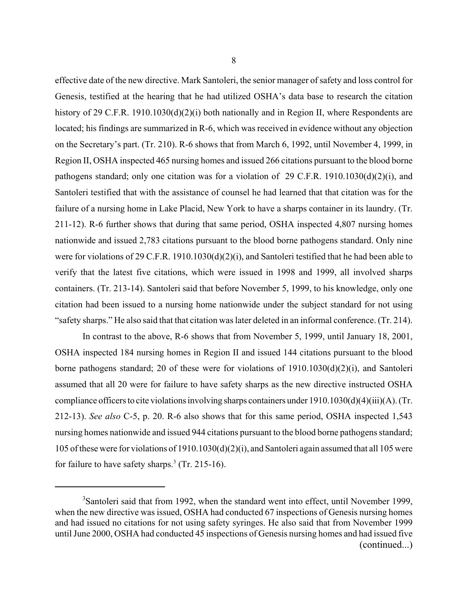effective date of the new directive. Mark Santoleri, the senior manager of safety and loss control for Genesis, testified at the hearing that he had utilized OSHA's data base to research the citation history of 29 C.F.R. 1910.1030(d)(2)(i) both nationally and in Region II, where Respondents are located; his findings are summarized in R-6, which was received in evidence without any objection on the Secretary's part. (Tr. 210). R-6 shows that from March 6, 1992, until November 4, 1999, in Region II, OSHA inspected 465 nursing homes and issued 266 citations pursuant to the blood borne pathogens standard; only one citation was for a violation of 29 C.F.R. 1910.1030(d)(2)(i), and Santoleri testified that with the assistance of counsel he had learned that that citation was for the failure of a nursing home in Lake Placid, New York to have a sharps container in its laundry. (Tr. 211-12). R-6 further shows that during that same period, OSHA inspected 4,807 nursing homes nationwide and issued 2,783 citations pursuant to the blood borne pathogens standard. Only nine were for violations of 29 C.F.R. 1910.1030(d)(2)(i), and Santoleri testified that he had been able to verify that the latest five citations, which were issued in 1998 and 1999, all involved sharps containers. (Tr. 213-14). Santoleri said that before November 5, 1999, to his knowledge, only one citation had been issued to a nursing home nationwide under the subject standard for not using "safety sharps." He also said that that citation was later deleted in an informal conference. (Tr. 214).

In contrast to the above, R-6 shows that from November 5, 1999, until January 18, 2001, OSHA inspected 184 nursing homes in Region II and issued 144 citations pursuant to the blood borne pathogens standard; 20 of these were for violations of 1910.1030(d)(2)(i), and Santoleri assumed that all 20 were for failure to have safety sharps as the new directive instructed OSHA compliance officers to cite violations involving sharps containers under  $1910.1030(d)(4)(iii)(A)$ . (Tr. 212-13). *See also* C-5, p. 20. R-6 also shows that for this same period, OSHA inspected 1,543 nursing homes nationwide and issued 944 citations pursuant to the blood borne pathogens standard; 105 of these were for violations of 1910.1030(d)(2)(i), and Santoleri again assumed that all 105 were for failure to have safety sharps.<sup>3</sup> (Tr. 215-16).

<sup>&</sup>lt;sup>3</sup>Santoleri said that from 1992, when the standard went into effect, until November 1999, when the new directive was issued, OSHA had conducted 67 inspections of Genesis nursing homes and had issued no citations for not using safety syringes. He also said that from November 1999 until June 2000, OSHA had conducted 45 inspections of Genesis nursing homes and had issued five (continued...)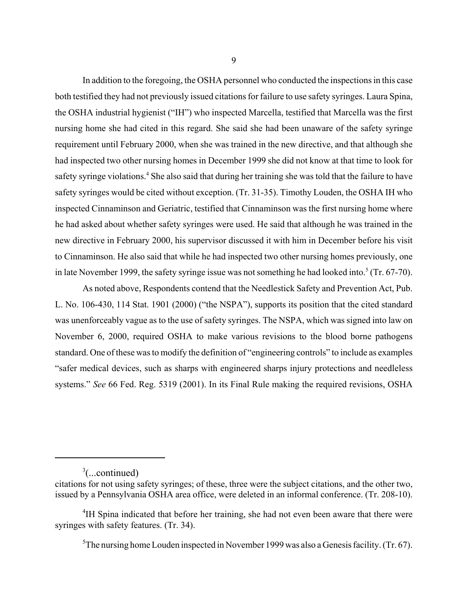In addition to the foregoing, the OSHA personnel who conducted the inspections in this case both testified they had not previously issued citations for failure to use safety syringes. Laura Spina, the OSHA industrial hygienist ("IH") who inspected Marcella, testified that Marcella was the first nursing home she had cited in this regard. She said she had been unaware of the safety syringe requirement until February 2000, when she was trained in the new directive, and that although she had inspected two other nursing homes in December 1999 she did not know at that time to look for safety syringe violations.<sup>4</sup> She also said that during her training she was told that the failure to have safety syringes would be cited without exception. (Tr. 31-35). Timothy Louden, the OSHA IH who inspected Cinnaminson and Geriatric, testified that Cinnaminson was the first nursing home where he had asked about whether safety syringes were used. He said that although he was trained in the new directive in February 2000, his supervisor discussed it with him in December before his visit to Cinnaminson. He also said that while he had inspected two other nursing homes previously, one in late November 1999, the safety syringe issue was not something he had looked into.<sup>5</sup> (Tr. 67-70).

As noted above, Respondents contend that the Needlestick Safety and Prevention Act, Pub. L. No. 106-430, 114 Stat. 1901 (2000) ("the NSPA"), supports its position that the cited standard was unenforceably vague as to the use of safety syringes. The NSPA, which was signed into law on November 6, 2000, required OSHA to make various revisions to the blood borne pathogens standard. One of these was to modify the definition of "engineering controls" to include as examples "safer medical devices, such as sharps with engineered sharps injury protections and needleless systems." *See* 66 Fed. Reg. 5319 (2001). In its Final Rule making the required revisions, OSHA

 $3$ (...continued)

citations for not using safety syringes; of these, three were the subject citations, and the other two, issued by a Pennsylvania OSHA area office, were deleted in an informal conference. (Tr. 208-10).

<sup>&</sup>lt;sup>4</sup>IH Spina indicated that before her training, she had not even been aware that there were syringes with safety features. (Tr. 34).

<sup>&</sup>lt;sup>5</sup>The nursing home Louden inspected in November 1999 was also a Genesis facility. (Tr. 67).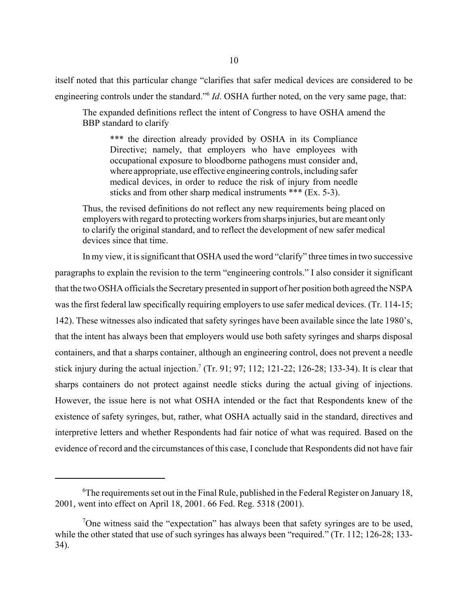itself noted that this particular change "clarifies that safer medical devices are considered to be engineering controls under the standard."6 *Id*. OSHA further noted, on the very same page, that:

The expanded definitions reflect the intent of Congress to have OSHA amend the BBP standard to clarify

\*\*\* the direction already provided by OSHA in its Compliance Directive; namely, that employers who have employees with occupational exposure to bloodborne pathogens must consider and, where appropriate, use effective engineering controls, including safer medical devices, in order to reduce the risk of injury from needle sticks and from other sharp medical instruments \*\*\* (Ex. 5-3).

Thus, the revised definitions do not reflect any new requirements being placed on employers with regard to protecting workers from sharps injuries, but are meant only to clarify the original standard, and to reflect the development of new safer medical devices since that time.

In my view, it is significant that OSHA used the word "clarify" three times in two successive paragraphs to explain the revision to the term "engineering controls." I also consider it significant that the two OSHA officials the Secretary presented in support of her position both agreed the NSPA was the first federal law specifically requiring employers to use safer medical devices. (Tr. 114-15; 142). These witnesses also indicated that safety syringes have been available since the late 1980's, that the intent has always been that employers would use both safety syringes and sharps disposal containers, and that a sharps container, although an engineering control, does not prevent a needle stick injury during the actual injection.<sup>7</sup> (Tr. 91; 97; 112; 121-22; 126-28; 133-34). It is clear that sharps containers do not protect against needle sticks during the actual giving of injections. However, the issue here is not what OSHA intended or the fact that Respondents knew of the existence of safety syringes, but, rather, what OSHA actually said in the standard, directives and interpretive letters and whether Respondents had fair notice of what was required. Based on the evidence of record and the circumstances of this case, I conclude that Respondents did not have fair

 ${}^{6}$ The requirements set out in the Final Rule, published in the Federal Register on January 18, 2001, went into effect on April 18, 2001. 66 Fed. Reg. 5318 (2001).

<sup>&</sup>lt;sup>7</sup>One witness said the "expectation" has always been that safety syringes are to be used, while the other stated that use of such syringes has always been "required." (Tr. 112; 126-28; 133-34).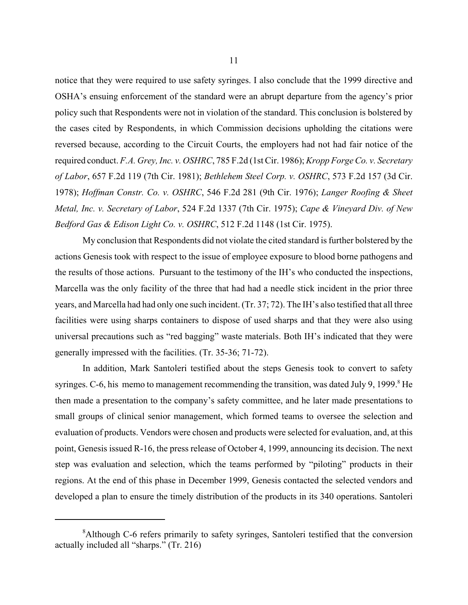notice that they were required to use safety syringes. I also conclude that the 1999 directive and OSHA's ensuing enforcement of the standard were an abrupt departure from the agency's prior policy such that Respondents were not in violation of the standard. This conclusion is bolstered by the cases cited by Respondents, in which Commission decisions upholding the citations were reversed because, according to the Circuit Courts, the employers had not had fair notice of the required conduct. *F.A. Grey, Inc. v. OSHRC*, 785 F.2d (1st Cir. 1986); *Kropp Forge Co. v. Secretary of Labor*, 657 F.2d 119 (7th Cir. 1981); *Bethlehem Steel Corp. v. OSHRC*, 573 F.2d 157 (3d Cir. 1978); *Hoffman Constr. Co. v. OSHRC*, 546 F.2d 281 (9th Cir. 1976); *Langer Roofing & Sheet Metal, Inc. v. Secretary of Labor*, 524 F.2d 1337 (7th Cir. 1975); *Cape & Vineyard Div. of New Bedford Gas & Edison Light Co. v. OSHRC*, 512 F.2d 1148 (1st Cir. 1975).

My conclusion that Respondents did not violate the cited standard is further bolstered by the actions Genesis took with respect to the issue of employee exposure to blood borne pathogens and the results of those actions. Pursuant to the testimony of the IH's who conducted the inspections, Marcella was the only facility of the three that had had a needle stick incident in the prior three years, and Marcella had had only one such incident. (Tr. 37; 72). The IH's also testified that all three facilities were using sharps containers to dispose of used sharps and that they were also using universal precautions such as "red bagging" waste materials. Both IH's indicated that they were generally impressed with the facilities. (Tr. 35-36; 71-72).

In addition, Mark Santoleri testified about the steps Genesis took to convert to safety syringes. C-6, his memo to management recommending the transition, was dated July 9, 1999.<sup>8</sup> He then made a presentation to the company's safety committee, and he later made presentations to small groups of clinical senior management, which formed teams to oversee the selection and evaluation of products. Vendors were chosen and products were selected for evaluation, and, at this point, Genesis issued R-16, the press release of October 4, 1999, announcing its decision. The next step was evaluation and selection, which the teams performed by "piloting" products in their regions. At the end of this phase in December 1999, Genesis contacted the selected vendors and developed a plan to ensure the timely distribution of the products in its 340 operations. Santoleri

<sup>&</sup>lt;sup>8</sup>Although C-6 refers primarily to safety syringes, Santoleri testified that the conversion actually included all "sharps." (Tr. 216)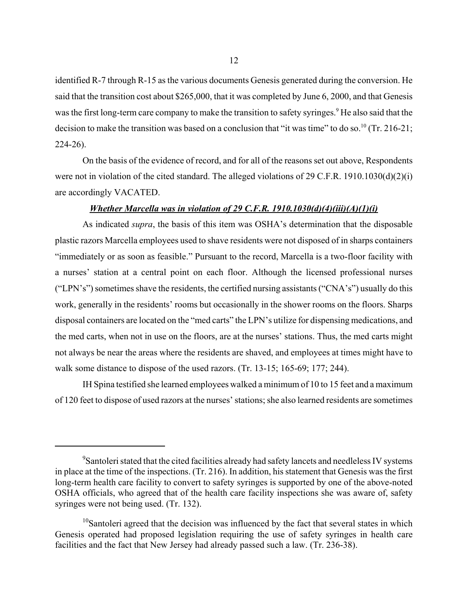identified R-7 through R-15 as the various documents Genesis generated during the conversion. He said that the transition cost about \$265,000, that it was completed by June 6, 2000, and that Genesis was the first long-term care company to make the transition to safety syringes.<sup>9</sup> He also said that the decision to make the transition was based on a conclusion that "it was time" to do so.<sup>10</sup> (Tr. 216-21; 224-26).

On the basis of the evidence of record, and for all of the reasons set out above, Respondents were not in violation of the cited standard. The alleged violations of 29 C.F.R. 1910.1030(d)(2)(i) are accordingly VACATED.

#### *Whether Marcella was in violation of 29 C.F.R. 1910.1030(d)(4)(iii)(A)(1)(i)*

As indicated *supra*, the basis of this item was OSHA's determination that the disposable plastic razors Marcella employees used to shave residents were not disposed of in sharps containers "immediately or as soon as feasible." Pursuant to the record, Marcella is a two-floor facility with a nurses' station at a central point on each floor. Although the licensed professional nurses ("LPN's") sometimes shave the residents, the certified nursing assistants ("CNA's") usually do this work, generally in the residents' rooms but occasionally in the shower rooms on the floors. Sharps disposal containers are located on the "med carts" the LPN's utilize for dispensing medications, and the med carts, when not in use on the floors, are at the nurses' stations. Thus, the med carts might not always be near the areas where the residents are shaved, and employees at times might have to walk some distance to dispose of the used razors. (Tr. 13-15; 165-69; 177; 244).

IH Spina testified she learned employees walked a minimum of 10 to 15 feet and a maximum of 120 feet to dispose of used razors at the nurses' stations; she also learned residents are sometimes

<sup>&</sup>lt;sup>9</sup>Santoleri stated that the cited facilities already had safety lancets and needleless IV systems in place at the time of the inspections. (Tr. 216). In addition, his statement that Genesis was the first long-term health care facility to convert to safety syringes is supported by one of the above-noted OSHA officials, who agreed that of the health care facility inspections she was aware of, safety syringes were not being used. (Tr. 132).

 $10$ Santoleri agreed that the decision was influenced by the fact that several states in which Genesis operated had proposed legislation requiring the use of safety syringes in health care facilities and the fact that New Jersey had already passed such a law. (Tr. 236-38).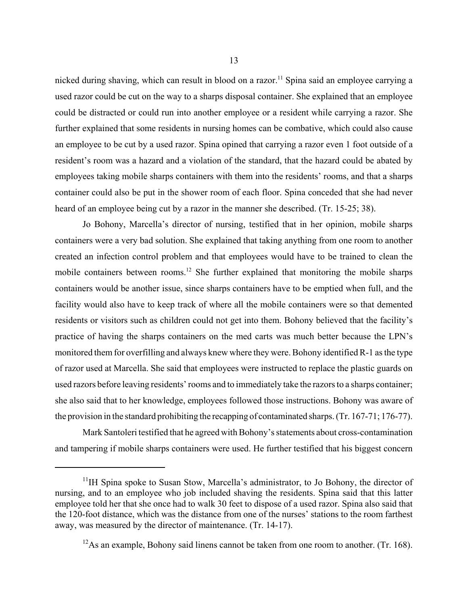nicked during shaving, which can result in blood on a razor.<sup>11</sup> Spina said an employee carrying a used razor could be cut on the way to a sharps disposal container. She explained that an employee could be distracted or could run into another employee or a resident while carrying a razor. She further explained that some residents in nursing homes can be combative, which could also cause an employee to be cut by a used razor. Spina opined that carrying a razor even 1 foot outside of a resident's room was a hazard and a violation of the standard, that the hazard could be abated by employees taking mobile sharps containers with them into the residents' rooms, and that a sharps container could also be put in the shower room of each floor. Spina conceded that she had never heard of an employee being cut by a razor in the manner she described. (Tr. 15-25; 38).

Jo Bohony, Marcella's director of nursing, testified that in her opinion, mobile sharps containers were a very bad solution. She explained that taking anything from one room to another created an infection control problem and that employees would have to be trained to clean the mobile containers between rooms.12 She further explained that monitoring the mobile sharps containers would be another issue, since sharps containers have to be emptied when full, and the facility would also have to keep track of where all the mobile containers were so that demented residents or visitors such as children could not get into them. Bohony believed that the facility's practice of having the sharps containers on the med carts was much better because the LPN's monitored them for overfilling and always knew where they were. Bohony identified R-1 as the type of razor used at Marcella. She said that employees were instructed to replace the plastic guards on used razors before leaving residents' rooms and to immediately take the razors to a sharps container; she also said that to her knowledge, employees followed those instructions. Bohony was aware of the provision in the standard prohibiting the recapping of contaminated sharps. (Tr. 167-71; 176-77).

Mark Santoleri testified that he agreed with Bohony's statements about cross-contamination and tampering if mobile sharps containers were used. He further testified that his biggest concern

 $11$ <sup>11</sup>IH Spina spoke to Susan Stow, Marcella's administrator, to Jo Bohony, the director of nursing, and to an employee who job included shaving the residents. Spina said that this latter employee told her that she once had to walk 30 feet to dispose of a used razor. Spina also said that the 120-foot distance, which was the distance from one of the nurses' stations to the room farthest away, was measured by the director of maintenance. (Tr. 14-17).

 $12$ As an example. Bohony said linens cannot be taken from one room to another. (Tr. 168).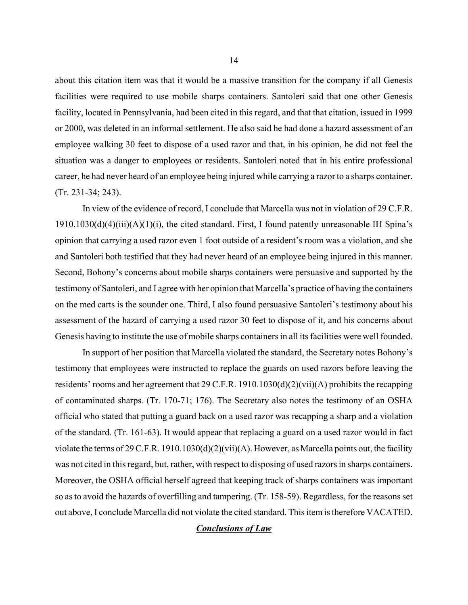about this citation item was that it would be a massive transition for the company if all Genesis facilities were required to use mobile sharps containers. Santoleri said that one other Genesis facility, located in Pennsylvania, had been cited in this regard, and that that citation, issued in 1999 or 2000, was deleted in an informal settlement. He also said he had done a hazard assessment of an employee walking 30 feet to dispose of a used razor and that, in his opinion, he did not feel the situation was a danger to employees or residents. Santoleri noted that in his entire professional career, he had never heard of an employee being injured while carrying a razor to a sharps container. (Tr. 231-34; 243).

In view of the evidence of record, I conclude that Marcella was not in violation of 29 C.F.R.  $1910.1030(d)(4)(iii)(A)(1)(i)$ , the cited standard. First, I found patently unreasonable IH Spina's opinion that carrying a used razor even 1 foot outside of a resident's room was a violation, and she and Santoleri both testified that they had never heard of an employee being injured in this manner. Second, Bohony's concerns about mobile sharps containers were persuasive and supported by the testimony of Santoleri, and I agree with her opinion that Marcella's practice of having the containers on the med carts is the sounder one. Third, I also found persuasive Santoleri's testimony about his assessment of the hazard of carrying a used razor 30 feet to dispose of it, and his concerns about Genesis having to institute the use of mobile sharps containers in all its facilities were well founded.

In support of her position that Marcella violated the standard, the Secretary notes Bohony's testimony that employees were instructed to replace the guards on used razors before leaving the residents' rooms and her agreement that 29 C.F.R. 1910.1030(d)(2)(vii)(A) prohibits the recapping of contaminated sharps. (Tr. 170-71; 176). The Secretary also notes the testimony of an OSHA official who stated that putting a guard back on a used razor was recapping a sharp and a violation of the standard. (Tr. 161-63). It would appear that replacing a guard on a used razor would in fact violate the terms of 29 C.F.R. 1910.1030(d)(2)(vii)(A). However, as Marcella points out, the facility was not cited in this regard, but, rather, with respect to disposing of used razors in sharps containers. Moreover, the OSHA official herself agreed that keeping track of sharps containers was important so as to avoid the hazards of overfilling and tampering. (Tr. 158-59). Regardless, for the reasons set out above, I conclude Marcella did not violate the cited standard. This item is therefore VACATED.

#### *Conclusions of Law*